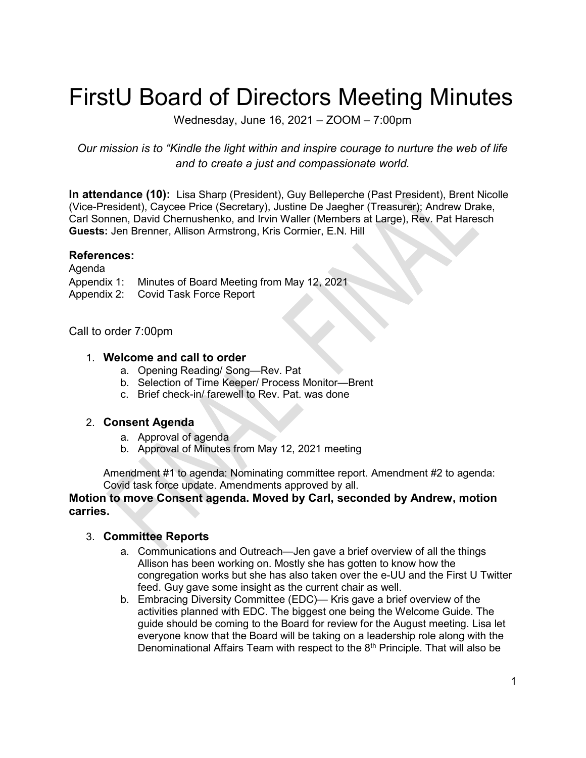# FirstU Board of Directors Meeting Minutes

Wednesday, June 16, 2021 – ZOOM – 7:00pm

Our mission is to "Kindle the light within and inspire courage to nurture the web of life and to create a just and compassionate world.

In attendance (10): Lisa Sharp (President), Guy Belleperche (Past President), Brent Nicolle (Vice-President), Caycee Price (Secretary), Justine De Jaegher (Treasurer); Andrew Drake, Carl Sonnen, David Chernushenko, and Irvin Waller (Members at Large), Rev. Pat Haresch Guests: Jen Brenner, Allison Armstrong, Kris Cormier, E.N. Hill

### References:

Agenda Appendix 1: Minutes of Board Meeting from May 12, 2021 Appendix 2: Covid Task Force Report

## Call to order 7:00pm

#### 1. Welcome and call to order

- a. Opening Reading/ Song—Rev. Pat
- b. Selection of Time Keeper/ Process Monitor—Brent
- c. Brief check-in/ farewell to Rev. Pat. was done

#### 2. Consent Agenda

- a. Approval of agenda
- b. Approval of Minutes from May 12, 2021 meeting

 Amendment #1 to agenda: Nominating committee report. Amendment #2 to agenda: Covid task force update. Amendments approved by all.

#### Motion to move Consent agenda. Moved by Carl, seconded by Andrew, motion carries.

## 3. Committee Reports

- a. Communications and Outreach—Jen gave a brief overview of all the things Allison has been working on. Mostly she has gotten to know how the congregation works but she has also taken over the e-UU and the First U Twitter feed. Guy gave some insight as the current chair as well.
- b. Embracing Diversity Committee (EDC)— Kris gave a brief overview of the activities planned with EDC. The biggest one being the Welcome Guide. The guide should be coming to the Board for review for the August meeting. Lisa let everyone know that the Board will be taking on a leadership role along with the Denominational Affairs Team with respect to the  $8<sup>th</sup>$  Principle. That will also be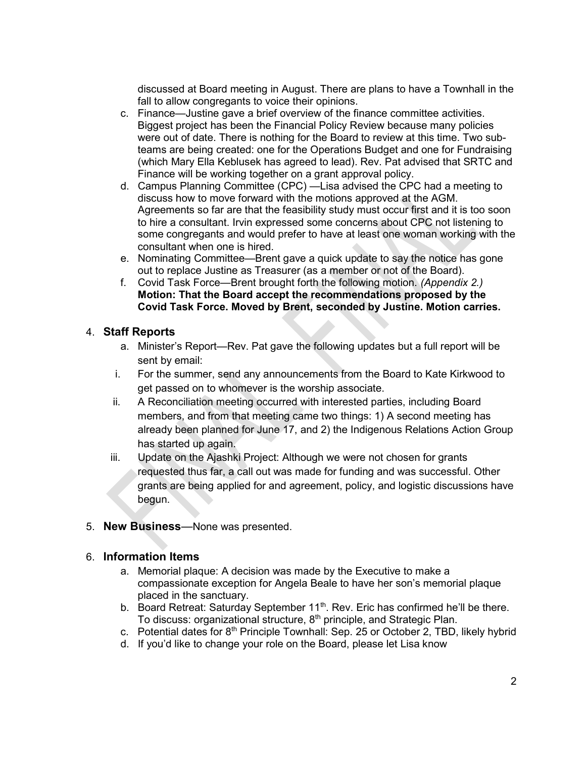discussed at Board meeting in August. There are plans to have a Townhall in the fall to allow congregants to voice their opinions.

- c. Finance—Justine gave a brief overview of the finance committee activities. Biggest project has been the Financial Policy Review because many policies were out of date. There is nothing for the Board to review at this time. Two subteams are being created: one for the Operations Budget and one for Fundraising (which Mary Ella Keblusek has agreed to lead). Rev. Pat advised that SRTC and Finance will be working together on a grant approval policy.
- d. Campus Planning Committee (CPC) —Lisa advised the CPC had a meeting to discuss how to move forward with the motions approved at the AGM. Agreements so far are that the feasibility study must occur first and it is too soon to hire a consultant. Irvin expressed some concerns about CPC not listening to some congregants and would prefer to have at least one woman working with the consultant when one is hired.
- e. Nominating Committee—Brent gave a quick update to say the notice has gone out to replace Justine as Treasurer (as a member or not of the Board).
- f. Covid Task Force—Brent brought forth the following motion. (Appendix 2.) Motion: That the Board accept the recommendations proposed by the Covid Task Force. Moved by Brent, seconded by Justine. Motion carries.

## 4. Staff Reports

- a. Minister's Report—Rev. Pat gave the following updates but a full report will be sent by email:
- i. For the summer, send any announcements from the Board to Kate Kirkwood to get passed on to whomever is the worship associate.
- ii. A Reconciliation meeting occurred with interested parties, including Board members, and from that meeting came two things: 1) A second meeting has already been planned for June 17, and 2) the Indigenous Relations Action Group has started up again.
- iii. Update on the Ajashki Project: Although we were not chosen for grants requested thus far, a call out was made for funding and was successful. Other grants are being applied for and agreement, policy, and logistic discussions have begun.
- 5. New Business—None was presented.

## 6. Information Items

- a. Memorial plaque: A decision was made by the Executive to make a compassionate exception for Angela Beale to have her son's memorial plaque placed in the sanctuary.
- b. Board Retreat: Saturday September  $11<sup>th</sup>$ . Rev. Eric has confirmed he'll be there. To discuss: organizational structure, 8<sup>th</sup> principle, and Strategic Plan.
- c. Potential dates for  $8<sup>th</sup>$  Principle Townhall: Sep. 25 or October 2, TBD, likely hybrid
- d. If you'd like to change your role on the Board, please let Lisa know